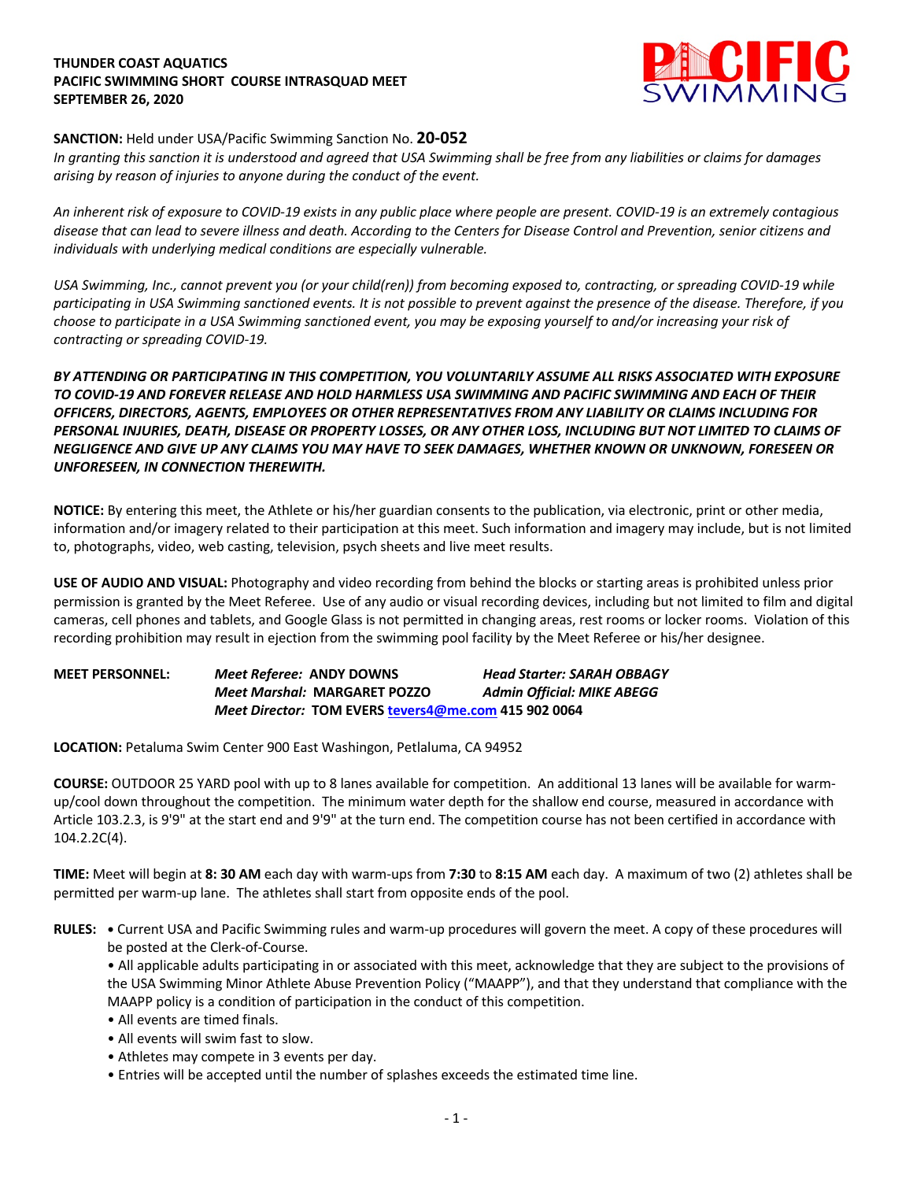### **THUNDER COAST AQUATICS PACIFIC SWIMMING SHORT COURSE INTRASQUAD MEET SEPTEMBER 26, 2020**



# **SANCTION:** Held under USA/Pacific Swimming Sanction No. **20-052**

*In granting this sanction it is understood and agreed that USA Swimming shall be free from any liabilities or claims for damages arising by reason of injuries to anyone during the conduct of the event.* 

*An inherent risk of exposure to COVID-19 exists in any public place where people are present. COVID-19 is an extremely contagious disease that can lead to severe illness and death. According to the Centers for Disease Control and Prevention, senior citizens and individuals with underlying medical conditions are especially vulnerable.*

*USA Swimming, Inc., cannot prevent you (or your child(ren)) from becoming exposed to, contracting, or spreading COVID-19 while participating in USA Swimming sanctioned events. It is not possible to prevent against the presence of the disease. Therefore, if you choose to participate in a USA Swimming sanctioned event, you may be exposing yourself to and/or increasing your risk of contracting or spreading COVID-19.*

*BY ATTENDING OR PARTICIPATING IN THIS COMPETITION, YOU VOLUNTARILY ASSUME ALL RISKS ASSOCIATED WITH EXPOSURE TO COVID-19 AND FOREVER RELEASE AND HOLD HARMLESS USA SWIMMING AND PACIFIC SWIMMING AND EACH OF THEIR OFFICERS, DIRECTORS, AGENTS, EMPLOYEES OR OTHER REPRESENTATIVES FROM ANY LIABILITY OR CLAIMS INCLUDING FOR PERSONAL INJURIES, DEATH, DISEASE OR PROPERTY LOSSES, OR ANY OTHER LOSS, INCLUDING BUT NOT LIMITED TO CLAIMS OF NEGLIGENCE AND GIVE UP ANY CLAIMS YOU MAY HAVE TO SEEK DAMAGES, WHETHER KNOWN OR UNKNOWN, FORESEEN OR UNFORESEEN, IN CONNECTION THEREWITH.*

**NOTICE:** By entering this meet, the Athlete or his/her guardian consents to the publication, via electronic, print or other media, information and/or imagery related to their participation at this meet. Such information and imagery may include, but is not limited to, photographs, video, web casting, television, psych sheets and live meet results.

**USE OF AUDIO AND VISUAL:** Photography and video recording from behind the blocks or starting areas is prohibited unless prior permission is granted by the Meet Referee. Use of any audio or visual recording devices, including but not limited to film and digital cameras, cell phones and tablets, and Google Glass is not permitted in changing areas, rest rooms or locker rooms. Violation of this recording prohibition may result in ejection from the swimming pool facility by the Meet Referee or his/her designee.

**MEET PERSONNEL:** *Meet Referee:* **ANDY DOWNS** *Head Starter: SARAH OBBAGY Meet Marshal:* **MARGARET POZZO** *Admin Official: MIKE ABEGG Meet Director:* **TOM EVERS tevers4@me.com 415 902 0064**

**LOCATION:** Petaluma Swim Center 900 East Washingon, Petlaluma, CA 94952

**COURSE:** OUTDOOR 25 YARD pool with up to 8 lanes available for competition. An additional 13 lanes will be available for warmup/cool down throughout the competition. The minimum water depth for the shallow end course, measured in accordance with Article 103.2.3, is 9'9" at the start end and 9'9" at the turn end. The competition course has not been certified in accordance with 104.2.2C(4).

**TIME:** Meet will begin at **8: 30 AM** each day with warm-ups from **7:30** to **8:15 AM** each day. A maximum of two (2) athletes shall be permitted per warm-up lane. The athletes shall start from opposite ends of the pool.

**RULES: •** Current USA and Pacific Swimming rules and warm-up procedures will govern the meet. A copy of these procedures will be posted at the Clerk-of-Course.

• All applicable adults participating in or associated with this meet, acknowledge that they are subject to the provisions of the USA Swimming Minor Athlete Abuse Prevention Policy ("MAAPP"), and that they understand that compliance with the MAAPP policy is a condition of participation in the conduct of this competition.

- All events are timed finals.
- All events will swim fast to slow.
- Athletes may compete in 3 events per day.

• Entries will be accepted until the number of splashes exceeds the estimated time line.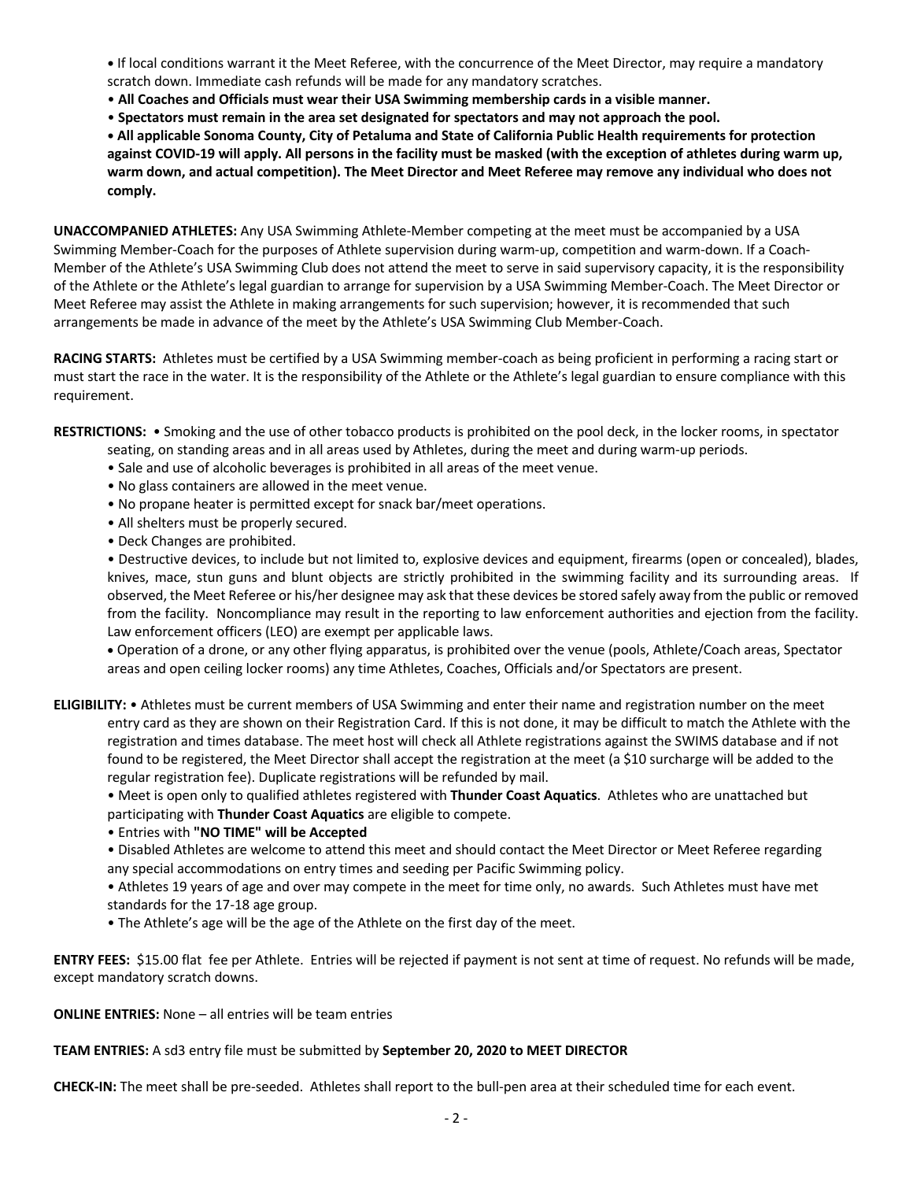**•** If local conditions warrant it the Meet Referee, with the concurrence of the Meet Director, may require a mandatory scratch down. Immediate cash refunds will be made for any mandatory scratches.

- **All Coaches and Officials must wear their USA Swimming membership cards in a visible manner.**
- **Spectators must remain in the area set designated for spectators and may not approach the pool.**

**• All applicable Sonoma County, City of Petaluma and State of California Public Health requirements for protection against COVID-19 will apply. All persons in the facility must be masked (with the exception of athletes during warm up, warm down, and actual competition). The Meet Director and Meet Referee may remove any individual who does not comply.** 

**UNACCOMPANIED ATHLETES:** Any USA Swimming Athlete-Member competing at the meet must be accompanied by a USA Swimming Member-Coach for the purposes of Athlete supervision during warm-up, competition and warm-down. If a Coach-Member of the Athlete's USA Swimming Club does not attend the meet to serve in said supervisory capacity, it is the responsibility of the Athlete or the Athlete's legal guardian to arrange for supervision by a USA Swimming Member-Coach. The Meet Director or Meet Referee may assist the Athlete in making arrangements for such supervision; however, it is recommended that such arrangements be made in advance of the meet by the Athlete's USA Swimming Club Member-Coach.

**RACING STARTS:** Athletes must be certified by a USA Swimming member-coach as being proficient in performing a racing start or must start the race in the water. It is the responsibility of the Athlete or the Athlete's legal guardian to ensure compliance with this requirement.

**RESTRICTIONS:** • Smoking and the use of other tobacco products is prohibited on the pool deck, in the locker rooms, in spectator seating, on standing areas and in all areas used by Athletes, during the meet and during warm-up periods.

- Sale and use of alcoholic beverages is prohibited in all areas of the meet venue.
- No glass containers are allowed in the meet venue.
- No propane heater is permitted except for snack bar/meet operations.
- All shelters must be properly secured.
- Deck Changes are prohibited.

• Destructive devices, to include but not limited to, explosive devices and equipment, firearms (open or concealed), blades, knives, mace, stun guns and blunt objects are strictly prohibited in the swimming facility and its surrounding areas. If observed, the Meet Referee or his/her designee may ask that these devices be stored safely away from the public or removed from the facility. Noncompliance may result in the reporting to law enforcement authorities and ejection from the facility. Law enforcement officers (LEO) are exempt per applicable laws.

• Operation of a drone, or any other flying apparatus, is prohibited over the venue (pools, Athlete/Coach areas, Spectator areas and open ceiling locker rooms) any time Athletes, Coaches, Officials and/or Spectators are present.

**ELIGIBILITY:** • Athletes must be current members of USA Swimming and enter their name and registration number on the meet entry card as they are shown on their Registration Card. If this is not done, it may be difficult to match the Athlete with the registration and times database. The meet host will check all Athlete registrations against the SWIMS database and if not found to be registered, the Meet Director shall accept the registration at the meet (a \$10 surcharge will be added to the regular registration fee). Duplicate registrations will be refunded by mail.

• Meet is open only to qualified athletes registered with **Thunder Coast Aquatics**. Athletes who are unattached but participating with **Thunder Coast Aquatics** are eligible to compete.

• Entries with **"NO TIME" will be Accepted**

• Disabled Athletes are welcome to attend this meet and should contact the Meet Director or Meet Referee regarding any special accommodations on entry times and seeding per Pacific Swimming policy.

• Athletes 19 years of age and over may compete in the meet for time only, no awards. Such Athletes must have met standards for the 17-18 age group.

• The Athlete's age will be the age of the Athlete on the first day of the meet.

**ENTRY FEES:** \$15.00 flat fee per Athlete. Entries will be rejected if payment is not sent at time of request. No refunds will be made, except mandatory scratch downs.

**ONLINE ENTRIES:** None – all entries will be team entries

## **TEAM ENTRIES:** A sd3 entry file must be submitted by **September 20, 2020 to MEET DIRECTOR**

**CHECK-IN:** The meet shall be pre-seeded. Athletes shall report to the bull-pen area at their scheduled time for each event.